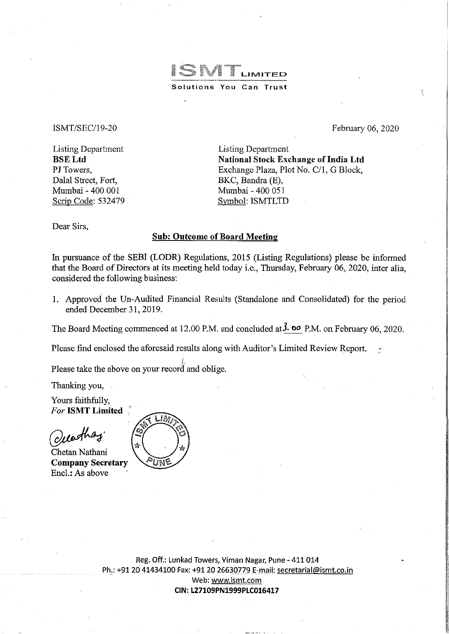ISNT  $\parallel$  LIMITED **Solutions You Can Trust** 

### ISMT/SEC/19-20

February 06, 2020

r)

Listing Department BSELtd PJ Towers. Dalal Street, Fort, Mumbai- 400 001 Scrip Code: 532479

Listing Department National Stock Exchange of India Ltd Exchange Plaza, Plot No. C/1, G Block, BKC, Bandra (E), Mumbai- 400 051 Symbol: ISMTLTD

Dear Sirs,

# Sub: Outcome of Board Meeting

In pursuance of the SEBI (LODR) Regulations, 2015 (Listing Regulations) please be informed that the Board of Directors at its meeting held today i.e., Thursday, February 06, 2020, inter alia, considered the following business:

1. Approved the Un-Audited Financial Results (Standalone and Consolidated) for the period ended December 31,2019.

The Board Meeting commenced at 12.00 P.M. and concluded at  $3$ . **oo** P.M. on February 06, 2020.

Please find enclosed the aforesaid results along with Auditor's Limited Review Report.

Please take the above on your record and oblige.

Thanking you,

Yours faithfully, *For* ISMT Limited

worther

Chetan Nathani Company Secretary Encl.: As above



Reg. Off.: Lunkad Towers, Viman Nagar, Pune- 411 014 Ph.: +91 20 41434100 Fax: +91 20 26630779 E-mail: secretarial@ismt.co.in Web: www.ismt.com CIN:L27109PN1999PLC016417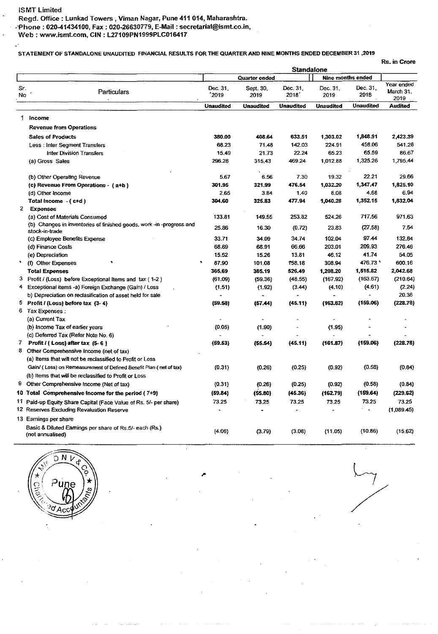Ŀ,

## STATEMENT OF STANDALONE UNAUDITED FINANCIAL RESULTS FOR THE QUARTER AND NINE MONTHS ENDED DECEMBER 31 ,2019

| Đ. |  |
|----|--|

|              |                                                                                       | Rs. in Crore<br><b>Standalone</b> |                                    |                   |                  |                                       |                                 |  |
|--------------|---------------------------------------------------------------------------------------|-----------------------------------|------------------------------------|-------------------|------------------|---------------------------------------|---------------------------------|--|
|              |                                                                                       |                                   |                                    |                   |                  |                                       |                                 |  |
| Sr.<br>No    | Particulars                                                                           | Dec. 31.<br>2019                  | Quarter ended<br>Sept. 30,<br>2019 | Dec. 31.<br>2018´ | Dec. 31,<br>2019 | Nine months ended<br>Dec. 31.<br>2018 | Year ended<br>March 31.<br>2019 |  |
|              |                                                                                       | <b>Unaudited</b>                  | <b>Unaudited</b>                   | Unaudited         | <b>Unaudited</b> | Unaudited                             | <b>Audited</b>                  |  |
|              | 1 income                                                                              |                                   |                                    |                   |                  |                                       |                                 |  |
|              | <b>Revenue from Operations</b>                                                        |                                   |                                    |                   |                  |                                       |                                 |  |
|              |                                                                                       |                                   |                                    |                   |                  |                                       |                                 |  |
|              | <b>Sales of Products</b>                                                              | 380.00                            | 408.64                             | 633.51            | 1,303.02         | 1,848.91<br>458.06                    | 2,423.39<br>541.28              |  |
|              | Less: Inter Segment Transfers                                                         | 68.23                             | 71.48                              | 142.03            | 224.91           | 65.59                                 |                                 |  |
|              | Inter Division Transfers                                                              | 15.49                             | 21.73                              | 22.24             | 65.23            |                                       | 86.67                           |  |
|              | (a) Gross Sales                                                                       | 296.28                            | 315.43                             | 469.24            | 1,012.88         | 1,325.26                              | 1,795,44                        |  |
|              | (b) Other Operating Revenue                                                           | 5.67                              | 6.56                               | 7.30              | 19.32            | 22.21                                 | 29.66                           |  |
|              | (c) Revenue From Operations - (a+b)                                                   | 301.95                            | 321.99                             | 476,54            | 1,032.20         | 1,347.47                              | 1,825.10                        |  |
|              | (d) Other Income                                                                      | 2.65                              | 3.84                               | 1.40              | 8.08             | 4.68                                  | 6.94                            |  |
|              | Total income $-(c+d)$                                                                 | 304,60                            | 325.83                             | 477.94            | 1,040.28         | 1,352.15                              | 1,832.04                        |  |
| $\mathbf{2}$ | <b>Expenses</b>                                                                       |                                   |                                    |                   |                  |                                       |                                 |  |
|              | (a) Cost of Materials Consumed                                                        | 133.81                            | 149.55                             | 253.82            | 524.26           | 717.56                                | 971.63                          |  |
|              | (b) Changes in inventones of finished goods, work -in -progress and<br>stock-in-trade | 25.86                             | 16.30                              | (0.72)            | 23.83            | (27.58)                               | 7.54                            |  |
|              | (c) Employee Benefits Expense                                                         | 33.71                             | 34.09                              | 34.74             | 102.04           | 97.44                                 | 132.84                          |  |
|              | (d) Finance Costs                                                                     | 68.89                             | 68.91                              | 66.66             | 203.01           | 209.93                                | 276.46                          |  |
|              | (e) Depreciation                                                                      | 15.52                             | 15.26                              | 13.81             | 46.12            | 4174                                  | 54.05                           |  |
|              | (f) Other Expenses                                                                    | 87.90                             | 101.08                             | 158.18            | 308.94           | 476.73 '                              | 600.16                          |  |
|              | <b>Total Expenses</b>                                                                 | 365.69                            | 385.19                             | 526.49            | 1.208.20         | 1,515.82                              | 2,042.68                        |  |
|              | 3 Profit / (Loss) before Exceptional Items and tax (1-2)                              | (61.09)                           | (59.36)                            | (48.55)           | (167.92)         | (163.67)                              | (210.64)                        |  |
| 4            | Exceptional items -a) Foreign Exchange (Gain) / Loss                                  | (1.51)                            | (1.92)                             | (3.44)            | (4.10)           | (4.61)                                | (2.24)                          |  |
|              | b) Depreciation on reclasification of asset held for sale                             |                                   |                                    |                   |                  |                                       | 20.38                           |  |
| 5            | Profit / (Loss) before tax (3-4)                                                      | (59.58)                           | (57.44)                            | (45.11)           | (163.82)         | (159.06)                              | (228.78)                        |  |
| 6            | Tax Expenses :                                                                        |                                   |                                    |                   |                  |                                       |                                 |  |
|              | (a) Current Tax                                                                       |                                   |                                    |                   |                  |                                       |                                 |  |
|              | (b) Income Tax of earlier years                                                       | (0.05)                            | (1.90)                             |                   | (1.95)           |                                       |                                 |  |
|              | (c) Deferred Tax (Refer Note No. 6)                                                   |                                   |                                    |                   |                  |                                       |                                 |  |
| 7            | Profit / (Loss) after tax (5-6)                                                       | (59.53)                           | (55.54)                            | (45.11)           | (161.87)         | (159.06)                              | (228, 78)                       |  |
|              | 8 Other Comprehensive Income (net of tax)                                             |                                   |                                    |                   |                  |                                       |                                 |  |
|              | (a) Items that will not be reclassified to Profit or Loss                             |                                   |                                    |                   |                  |                                       |                                 |  |
|              | Gain/ (Loss) on Remeasurement of Defined Benefit Plan (net of tax)                    | (0.31)                            | (0.26)                             | (0.25)            | (0.92)           | (0.58)                                | (0.84)                          |  |
|              | (b) Items that will be reclassified to Profit or Loss                                 |                                   |                                    |                   |                  |                                       |                                 |  |
| 9            | Other Comprehensive Income (Net of tax)                                               | (0.31)                            | (0.26)                             | (0.25)            | (0.92)           | (0.58)                                | (0.84)                          |  |
|              | 10 Total Comprehensive income for the period (7+9)                                    | (59.84)                           | (55.80)                            | (45.36)           | (162.79)         | (159.64)                              | (229.62)                        |  |
|              | 11 Paid-up Equity Share Capital (Face Value of Rs. 5/- per share)                     | 73.25                             | 73.25                              | 73.25             | 73.25            | 73.25                                 | 73.25                           |  |
|              | 12 Reserves Excluding Revaluation Reserve                                             |                                   |                                    |                   |                  | $\overline{a}$                        | (1,089.45)                      |  |
|              | 13 Earnings per share                                                                 |                                   |                                    |                   |                  |                                       |                                 |  |
|              | Basic & Diluted Earnings per share of Rs.5/- each (Rs.)<br>(not annualised)           | (4.06)                            | (3.79)                             | (3.08)            | (11.05)          | (10.86)                               | (15.62)                         |  |
|              |                                                                                       |                                   |                                    |                   |                  |                                       |                                 |  |

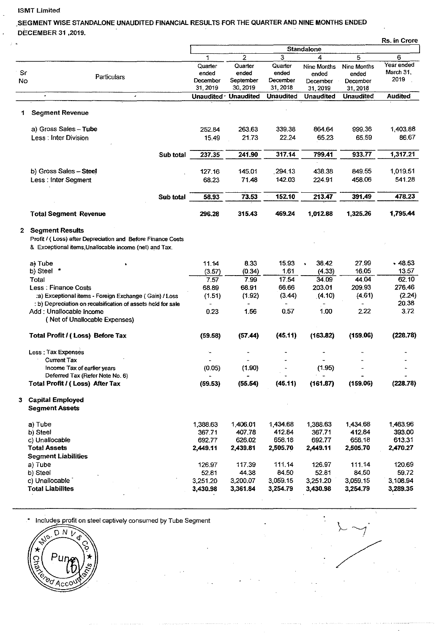#### ISMT Limited

# SEGMENT WISE STANDALONE UNAUDITED FINANCIAL RESULTS FOR THE QUARTER AND NINE MONTHS ENDED DECEMBER 31 ,2019.

|           |                                                                                                                                            |                              |                               |                              |                                  |                                  | Rs. in Crore                    |
|-----------|--------------------------------------------------------------------------------------------------------------------------------------------|------------------------------|-------------------------------|------------------------------|----------------------------------|----------------------------------|---------------------------------|
|           |                                                                                                                                            |                              |                               |                              |                                  |                                  |                                 |
|           |                                                                                                                                            | 1                            | 2                             | 3                            | 4                                | 5                                | 6                               |
| Sr<br>No. | Particulars                                                                                                                                | Quarter<br>ended<br>December | Quarter<br>ended<br>September | Quarter<br>ended<br>December | Nine Months<br>ended<br>December | Nine Months<br>ended<br>December | Year ended<br>March 31,<br>2019 |
|           |                                                                                                                                            | 31, 2019                     | 30, 2019                      | 31, 2018                     | 31, 2019                         | 31, 2018                         |                                 |
|           | $\cdot$                                                                                                                                    | Unaudited ·                  | <b>Unaudited</b>              | <b>Unaudited</b>             | Unaudited                        | <b>Unaudited</b>                 | <b>Audited</b>                  |
| 1         | <b>Segment Revenue</b>                                                                                                                     |                              |                               |                              |                                  |                                  |                                 |
|           | a) Gross Sales - Tube                                                                                                                      | 252.84                       | 263.63                        | 339.38                       | 864.64                           | 999.36                           | 1,403.88                        |
|           | Less: Inter Division                                                                                                                       | 15.49                        | 21.73                         | 22.24                        | 65.23                            | 65.59                            | 86.67                           |
|           |                                                                                                                                            |                              |                               |                              |                                  |                                  |                                 |
|           | Sub total                                                                                                                                  | 237.35                       | 241.90                        | 317.14                       | 799.41                           | 933.77                           | 1,317.21                        |
|           | b) Gross Sales - Steel                                                                                                                     | 127.16                       | 145.01                        | 294.13                       | 438.38                           | 849.55                           | 1,019.51                        |
|           | Less: Inter Segment                                                                                                                        | 68.23                        | 71.48                         | 142.03                       | 224.91                           | 458.06                           | 541.28                          |
|           | Sub total                                                                                                                                  | 58.93                        | 73.53                         | 152.10                       | 213.47                           | 391.49                           | 478.23                          |
|           |                                                                                                                                            |                              |                               |                              |                                  |                                  |                                 |
|           | <b>Total Segment Revenue</b>                                                                                                               | 296.28                       | 315.43                        | 469.24                       | 1,012.88                         | 1,325.26                         | 1,795.44                        |
|           | 2 Segment Results<br>Profit / (Loss) after Depreciation and Before Finance Costs<br>& Exceptional items, Unallocable income (net) and Tax. |                              |                               |                              |                                  |                                  |                                 |
|           | a) Tube                                                                                                                                    | 11.14                        | 8.33                          | 15.93                        | 38.42                            | 27,99                            | .48.53                          |
|           | b) Steel *                                                                                                                                 | (3.57)                       | (0.34)                        | 1.61                         | (4.33)                           | 16.05                            | 13.57                           |
|           | Total                                                                                                                                      | 7.57                         | 7.99                          | 17.54                        | 34.09                            | 44.04                            | 62.10                           |
|           | <b>Less: Finance Costs</b>                                                                                                                 | 68.89                        | 68.91                         | 66.66                        | 203.01                           | 209.93                           | 276.46                          |
|           | :a) Exceptional items - Foreign Exchange (Gain) / Loss                                                                                     | (1.51)                       | (1.92)                        | (3.44)                       | (4.10)                           | (4.61)                           | (2.24)<br>20.38                 |
|           | : b) Depreciation on recalsification of assets held for sale<br>Add: Unallocable Income<br>(Net of Unallocable Expenses)                   | 0.23                         | 1.56                          | 0.57                         | 1.00                             | 2.22                             | 3.72                            |
|           | Total Profit / (Loss) Before Tax                                                                                                           | (59.58)                      | (57.44)                       | (45.11)                      | (163.82)                         | (159.06)                         | (228.78)                        |
|           | Less: Tax Expenses                                                                                                                         |                              |                               |                              |                                  |                                  |                                 |
|           | <b>Current Tax</b>                                                                                                                         |                              |                               |                              |                                  |                                  |                                 |
|           | Income Tax of earlier years<br>Deferred Tax (Refer Note No. 6)                                                                             | (0.05)                       | (1.90)                        |                              | (1.95)                           |                                  |                                 |
|           | Total Profit / (Loss) After Tax                                                                                                            | (59.53)                      | (55.54)                       | (45.11)                      | (161.87)                         | (159.06)                         | (228.78)                        |
|           | 3 Capital Employed<br><b>Segment Assets</b>                                                                                                |                              |                               |                              |                                  |                                  |                                 |
|           | a) Tube                                                                                                                                    | 1,388.63                     | 1,406.01                      | 1,434.68                     | 1,388.63                         | 1,434.68                         | 1,463.96                        |
|           | b) Steel                                                                                                                                   | 367.71                       | 407.78                        | 412.84                       | 367.71                           | 412.84                           | 393.00                          |
|           | c) Unallocable                                                                                                                             | 692.77                       | 626.02                        | 658.18                       | 692.77                           | 658.18                           | 613.31                          |
|           | <b>Total Assets</b><br><b>Segment Liabilities</b>                                                                                          | 2,449.11                     | 2,439.81                      | 2,505.70                     | 2,449.11                         | 2,505.70                         | 2,470.27                        |
|           | a) Tube                                                                                                                                    | 126.97                       | 117.39                        | 111.14                       | 126.97                           | 111.14                           | 120.69                          |
|           | b) Steel                                                                                                                                   | 52.81                        | 44.38                         | 84.50                        | 52.81                            | 84.50                            | 59.72                           |
|           | c) Unallocable                                                                                                                             | 3,251.20                     | 3,200.07                      | 3,059.15                     | 3,251.20                         | 3,059.15                         | 3,108.94                        |
|           | <b>Total Liabilites</b>                                                                                                                    | 3,430.98                     | 3,361.84                      | 3,254.79                     | 3,430.98                         | 3,254.79                         | 3,289.35                        |
|           |                                                                                                                                            |                              |                               |                              |                                  |                                  |                                 |

\* Includes profit on steel captively consumed by Tube Segment

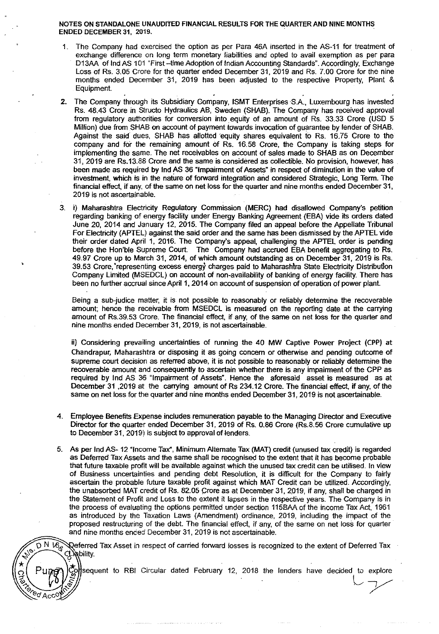#### NOTES ON STANDALONE UNAUDITED FINANCIAL RESULTS FOR THE QUARTER AND NINE MONTHS ENDED DECEMBER 31, 2019.

- 1. The Company had exercised the option as per Para 46A inserted in the AS-11 for treatment of exchange difference on long term monetary liabilities and opted to avail exemption as per para D13AA of lnd AS 101 "First -time Adoption of Indian Accounting Standards". Accordingly, Exchange Loss of Rs. 3.05 Crore for the quarter ended December 31, 2019 and Rs. 7.00 Crore for the nine months ended December 31, 2019 has been adjusted to the respective Property, Plant & Equipment.
- 2. The Company through its Subsidiary Company, ISMT Enterprises S.A., Luxembourg has invested Rs. 48.43 Crore in Structo Hydraulics AB, Sweden (SHAB). The Company has received approval from regulatory authorities for conversion into. equity of an amount of Rs. 33.33 Crore (USD 5 Million) due from SHAB on account of payment towards invocation of guarantee by lender of SHAB. Against the said dues, SHAB has allotted equity shares equivalent to Rs. 16.75 Crore to the company and for the remaining amount of Rs. 16.58 Crore, the Company is taking steps for implementing the same. The net receivables on account of sales made to SHAB as on December 31, 2019 are Rs.13.88 Crore and the same is considered as collectible. No provision, however, has been made as required by lnd AS 36 "Impairment of Assets" in respect of diminution in the value of investment, which is in the nature of forward integration and considered Strategic, Long Term. The financial effect, if *any.* of the same on net loss for the quarter and nine months ended December 31, 2019 is not ascertainable.
- 3. i) Maharashtra Electricity Regulatory Commission (MERC) had disallowed Company's petition regarding banking of energy facility under Energy Banking Agreement (EBA) vide its orders dated June 20, 2014 and January 12, 2015. The Company filed an appeal before the Appellate Tribunal For Electricity (APTEL) against the said order and the same has been dismissed by the APTEL vide their order dated April 1, 2016. The Company's appeal, challenging the APTEL order is pending before the Hon'ble Supreme Court. The Company had accrued EBA benefit aggregating to Rs. 49.97 Crore up to March 31, 2014, of which amount outstanding as on December 31, 2019 is Rs. 39.53 Crore,'representing excess energy charges paid to Maharashlra State Electricity Distribution Company Limited (MSEDCL) on account of non-availability of banking of energy facility. There has been no further accrual since April 1, 2014 on account of suspension of operation of power plant.

Being a sub-judice matter, it is not possible to reasonably or reliably determine the recoverable amount; hence the receivable from MSEDCL is measured on the reporting date at the carrying amount of Rs.39.53 Crore. The financial effect, if any, of the same on net loss for the quarter and nine months ended December 31, 2019, is not ascertainable.

ii) Considering prevailing uncertainties of running the 40 MW Captive Power Project (CPP) at Chandrapur, Maharashtra or disposing it as going concern or otherwise and pending outcome of supreme court decision as referred above, it is not possible to reasonably or reliably determine the recoverable amount and consequently to ascertain whether there is any impairment of the CPP as required by lnd AS 36 "Impairment of Assets". Hence the aforesaid asset is measured as at December 31 ,2019 at the carrying amount of Rs 234.12 Crore. The financial effect, if any, of the same on net loss for the quarter and nine months ended December 31, 2019 is not ascertainable.

- 4. Employee Benefits Expense includes remuneration payable to the Managing Director and Executive Director for the quarter ended December 31, 2019 of Rs. 0.86 Crore (Rs.8.56 Crore cumulative up to December 31, 2019) is subject to approval of lenders.
- 5. As per lnd AS- 12 "Income Tax", Minimum Alternate Tax (MAT) credit (unused tax credit) is regarded as Deferred Tax Assets and the same shall be recognised to the extent that it has become probable that future taxable profit will be available against which the unused tax credit can be utilised. In view of Business uncertainties and pending debt Resolution, it is difficult for the Company to fairly ascertain the probable future taxable profit against which MAT Credit can be utilized. Accordingly, the unabsorbed MAT credit of Rs. 82.05 Crore as at December 31, 2019, if any, shall be charged in the Statement of Profit and Loss to the extent it lapses in the respective years. The Company is in the process of evaluating the options permitted under seclion 1158AA of the income Tax Act, 1961 as introduced by the Taxation Laws (Amendment) ordinance, 2019, including the impact of the proposed restructuring of the debt. The financial effect, if any, of the same on net loss for quarter and nine months ended December 31,2019 is not ascertainable.

 $0.M @$ Deferred Tax Asset in respect of carried forward losses is recognized to the extent of Deferred Tax Grability.

sequent to RBI Circular dated February 12, 2018 the lenders have decided to explore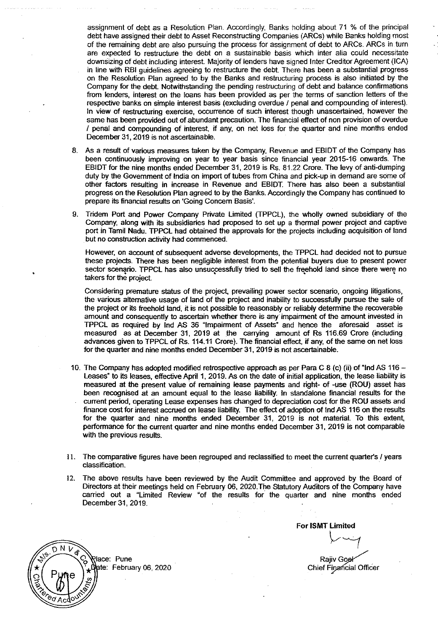assignment of debt as a Resolution Plan. Accordingly, Banks holding about 71 % of the principal debt have assigned their debt to Asset Reccnstructing Companies (ARCs) while Banks holding most of the remaining debt are also pursuing the process for assignment of debt to ARCs. ARCs in turn are expected to restructure the debt on a sustainable basis which inter alia could necessitate downsizing of debt including interest. Majority of lenders have signed Inter Credrtor Agreement (ICA) in line with RBI guidelines agreeing to restructure the debt. There has been a substantial progress on the Resolution Plan agreed to by the Banks and restructuring process is also initiated by the Company for the debt. Notwithstanding the pending restructuring of debt and balance confirmations from lenders, interest on the loans has been provided as per the terms of sanction letters of the respective banks on simple interest basis (excluding overdue I penal and compounding of interest). In view of restructuring exercise, occurrence of such interest though unascertained, however the same has been provided out of abundant precaution. The financial effect of non provision of overdue I penal and compounding of interest, if any, on net loss for the quarter and nine months ended December 31,2019 is not ascertainable.

- 8. As a result of various measures taken by the Company, Revenue and EBIDT of the Company has been continuously improving on year to year basis since financial year 2015-16 onwards. The EBIDT for the nine months ended December 31, 2019 is.Rs. 81.22 Crore. The levy of anti-dumping duty by the Government of India on import of tubes from China and pick-up in demand are some of other factors resulting in increase in Revenue and EBIDT. There has also been a substantial progress on the Resolution Plan agreed to by the Banks. Accordingly the Company has continued to prepare its financial results on 'Going Concern Basis'.
- 9. Tridem Port and Power Company Private limited (TPPCL), the wholly owned subsidiary of the Company, along with its subsidiaries had proposed to set up a thermal power project and captive port in Tamil Nadu. TPPCL had obtained the approvals for the projects including acquisition of land but no construction activity had commenced.

However, on account of subsequent adverse developments, the TPPCL had decided not to pursue these projects. There has been negligible interest from the potential buyers due to present power sector scenario. TPPCL has also unsuccessfully tried to sell the freehold land since there were no takers for the project.

Considering premature status of the project, prevailing power sector scenario, ongoing litigations, the various alternative usage of land of the project and inability to successfully pursue the sale of the project or its freehold land, it is not possible to reasonably or reliably determine the recoverable amount and consequently to ascertain whether there is any impairment of the amount invested in TPPCL as required by Ind AS 36 "Impairment of Assets" and hence the aforesaid asset is measured as at December 31, 2019 at the carrying amount of Rs 116.69 Crore (including advances given to TPPCL of Rs. 114.11 Crore). The financial effect, if any, of the same on net loss for the quarter and nine months ended December 31, 2019 is not ascertainable.

- 10. The Company has adopted modified retrospective approach as per Para C 8 (c) (ii) of "lnd AS 116- Leases" to its leases, effective April 1, 2019. As on the date of initial application, the lease liability is measured at the present value of remaining lease payments and right- of -use (ROU) asset has been recognised at an amount equal to the lease liability. In standalone financial results for the current period, operating Lease expenses has changed to depreciation cost for the ROU assets and finance oost for interest accrued on lease liability. The effect of adoption of tnd AS 116 on the results for the quarter and nine months ended December 31, 2019 is not material. To this extent, performance for the current quarter and nine months ended December 31, 2019 is not comparable with the previous results.
- II. The comparative figures have been regrouped and reclassified to meet the current quarter's I years classification.
- 12. The above results have been reviewed by the Audit Committee and approved by the Board of Directors at their meetings held on February 06, 2020.The Statutory Auditors of the Company have carried out a "limited Review "of the results for the quarter and nine months ended December 31, 2019.

For ISMT Limited *Y(* 

RajivGo **Chief Financial Officer** 



pte: February 06, 2020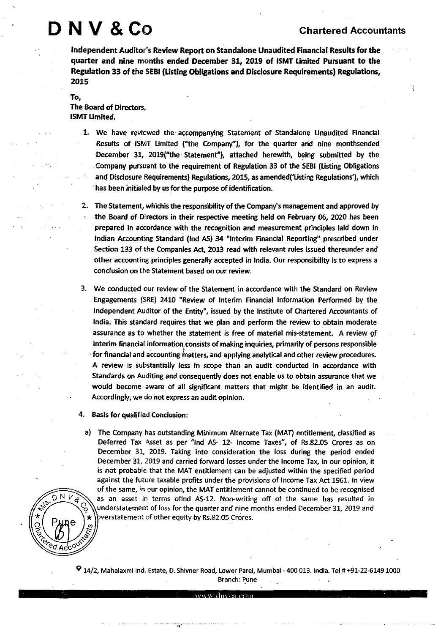# NV & CO Chartered Accountants

ţ

Independent Auditor's Review Report on Standalone Unaudited Financial Results for the quarter and nine months ended December 31, 2019 of ISMT Limited Pursuant to the Regulation 33 of the SEBI (Usting Obligations and Disclosure Requirements) Regulations, 2015

# To, The Board of Directors, ISMT Umited.

- 1. We have reviewed the accompanying Statement of Standalone Unaudited Financial Results of ISMT Umited ("the Company"), for the quarter and nine monthsended December 31, 2019("the . Statement"), attached herewith, being submitted by the . Company pursuant to the requirement of Regulation 33 of the SEBI (Usting Obligations and Disclosure Requirements) Regulations, 2015, as amended('Listing Regulations'), which ·has been initialed by us for the purpose of identification.
- *2.* The Statement, whichis the responsibility of the Company's management and approved by the Board of Directors in their respective meeting held on February 06, *2020* has been prepared in accordance with the recognition and measurement principles laid down in Indian Accounting Standard (Ind AS) 34 "Interim Financial Reporting" prescribed under Section 133 of the Companies Act, *2013* read with relevant rules issued thereunder and other accounting principles generally accepted in India. Our responsibility is to express a conclusion on the Statement based on our review.
- 3. We conducted our review of the Statement in accordance with the Standard on Review Engagements (SRE) *2410* "Review of Interim Financial Information Performed by the Independent Auditor of the Entity", issued by the Institute of Chartered Accountants of India. This standard requires that we plan and perform the review to obtain moderate assurance as to whether the statement is free of material mis-statement. A review gt interim financial information, consists of making inquiries, primarily of persons responsible for financial and accounting matters, and applying analytical and other review procedures. A review is substantially less· in scope than an audit conducted in accordance with Standards on Auditing and consequently does not enable us to obtain assurance that we would become aware of all significant matters that might be identified in an audit. Accordingly, we do not express an audit opinion.
- 4. Basis for qualified Conclusion:
	- a) The Company has outstanding Minimum Alternate Tax (MAT) entitlement, classified as Deferred Tax Asset as per "lnd AS- *12-* Income Taxes", of Rs.82.05 Crores as on December 31, 2019. Taking into consideration the loss during the period ended December 31, 2019 and carried forward losses under the Income Tax, in our opinion, it is not probable that the MAT entitlement can be adjusted within the specified period against the future taxable profits under the provisions of Income Tax Act 1961. In view of the same, in our opinion, the MAT entitlement cannot be continued to be recognised as an asset in terms oflnd AS-12. Non-writing off of the same has resulted in understatement of loss for the quarter and nine months ended December 31, 2019 and verstatement of other equity by Rs.82.05 Crores.



9 14/2, Mahalaxmi Ind. Estate, D. Shivner Road, Lower Paref, Mumbai- 400 013. India. Tel# +91-22-61491000 Branch: Pune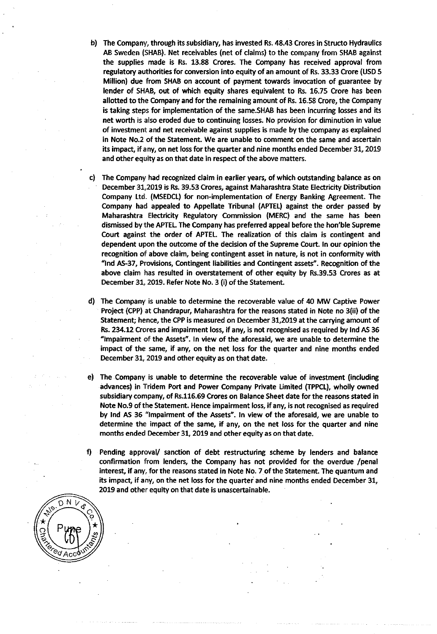- b) The Company, through its subsidiary, has invested Rs. 48.43 Crores in Structo Hydraulics AB Sweden (SHAB). Net receivables (net of claims) to the company from SHAB against the supplies made is Rs. 13.88 Crores. The Company has received approval from regulatory authorities for conversion into equity of an amount of Rs. 33.33 Crore (USD S Million) due from SHAB on account of payment towards invocation of guarantee by lender of SHAB, out of which equity shares equivalent to Rs. 16.7S Crore has been allotted to the Company and for the remaining amount of Rs. 16.58 Crore, the Company is taking steps for implementation of the same.SHAB has been incurring losses and its net worth is also eroded due to continuing losses. No provision for diminution in value of investment and net receivable against supplies is made by the company as explained in Note No.2 of the Statement. We are unable to comment on the same and ascertain its impact, if *any,* on net loss for the quarter and nine months ended December 31, 2019 and other equity as on that date in respect of the above matters.
- c) The Company had recognized claim in earlier years, of which outstanding balance as on December 31,2019 is Rs. 39.53 Crores, against Maharashtra State Electricity Distribution Company Ltd. (MSEDCL) for non-implementation of Energy Banking Agreement. The Company had appealed to Appellate Tribunal (APTEL) against the order passed by Maharashtra Electricity Regulatory Commission (MERC) and the same has been dismissed by the APTEL The Company has preferred appeal before the hon'ble Supreme Court against the order of APTEL The realization of this claim is contingent and dependent upon the outcome of the decision of the Supreme Court. In our opinion the recognition of above claim, being contingent asset in nature, is not in conformity with "lnd AS-37, Provisions, Contingent liabilities and Contingent assets". Recognition of the above claim has resulted in overstatement of other equity by Rs.39.53 Crores as at December 31, 2019. Refer Note No. 3 (i) of the Statement.
- d) The Company is unable to determine the recoverable value of 40 MW Captive Power Project (CPP) at Chandrapur, Maharashtra for the reasons stated in Note no 3(ii) of the Statement; hence, the CPP is measured on December 31,2019 at the carrying amount of Rs. 234.12 Crores and impairment loss, if *any,* is not recognised as required by lnd AS 36 "Impairment of the Assets". In view of the aforesaid, we are unable to determine the impact of the same, if any, on the net loss for the quarter and nine months ended December 31, 2019 and other equity as on that date.
- e) The Company is unable to determine the recoverable value of investment (including advances) in Tridem Port and Power Company Private Umited (TPPCL), wholly owned subsidiary company, of Rs.116.69 Crores on Balance Sheet date for the reasons stated in Note No.9 of the Statement. Hence impairment loss, if *any,* is not recognised as required by lnd AS 36 "Impairment of the Assets". In view of the aforesaid, we are unable to determine the impact of the same, if *any,* on the net loss for the quarter and nine months ended December 31, 2019 and other equity as on that date.
- f) Pending approval/ sanction of debt restructuring scheme by lenders and balance confirmation from lenders, the Company has not provided for the overdue /penal interest, if any, for the reasons stated in Note No. 7. of the Statement. The quantum and its impact, if any, on the net loss for the quarter and nine months ended December 31, 2019 and other equity on that date is unascertainable.

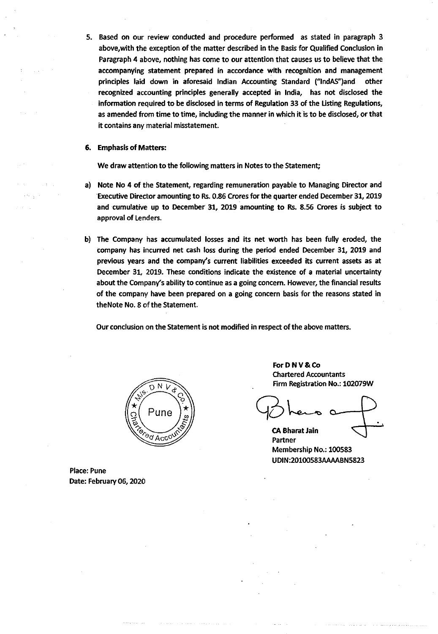5. Based on our review conducted and procedure performed as stated in paragraph 3 above, with the exception of the matter described in the Basis for Qualified Conclusion in Paragraph 4 above, nothing has come to our attention that causes us to believe that the accompanying statement prepared in accordance with recognition and management principles laid down in aforesaid Indian Accounting Standard ("lndAS")and other recognized accounting principles generally accepted in India, has not disclosed the information required to be disclosed in terms of Regulation 33 of the Usting Regulations, as amended from time to time, including the manner in which it is to be disclosed, or that it contains any material misstatement.

#### 6. Emphasis of Matters:

We draw attention to the following matters in Notes to the Statement;

- a) Note No 4 of the Statement, regarding remuneration payable to Managing Director and Executive Director amounting to Rs. 0.86 Crores for the quarter ended December 31, 2019 and cumulative up to December 31, 2019 amounting to Rs. 8.S6 Crores is subject to approval of Lenders.
- b) The Company has accumulated losses and its net worth has been fully eroded, the company has incurred net cash loss during the period ended December 31, 2019 and previous years and the company's current liabilities exceeded its current assets as at December 31, 2019. These conditions indicate the existence of a material uncertainty about the Company's ability to continue as a going concern. However, the financial results of the company have been prepared on a going concern basis for the reasons stated in the Note No. 8 of the Statement.

Our conclusion on the Statement is not modified in respect of the above matters.



Place: Pune Date: February 06, 2020 For D N V & Co Chartered Accountants Firm Registration No.: 102079W

CA Bharat Jain Partner Membership No.: 100583 UDIN:20100583MMBN5823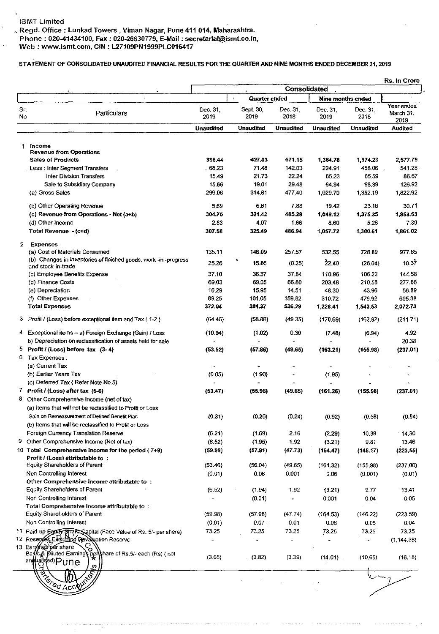., Regd. Office: Lunkad Towers, Viman Nagar, Pune 411 014, Maharashtra. Phone : 020-41434100, Fax : 020-26630779, E-Mail : secretarial@ismt.co.in, Web : www.ismt.com, CIN : L27109PN1999PLC016417

## STATEMENT OF CONSOLIDATED UNAUDITED FINANCIAL RESULTS FOR THE QUARTER AND NINE MONTHS ENDED DECEMBER 31, 2019

|                                          |                                                                                                    |                  |                      | Rs. In Crore     |                  |                   |                                 |  |
|------------------------------------------|----------------------------------------------------------------------------------------------------|------------------|----------------------|------------------|------------------|-------------------|---------------------------------|--|
|                                          |                                                                                                    |                  | <b>Quarter ended</b> | Consolidated     |                  | Nine months ended |                                 |  |
| Sr.<br>No                                | Particulars                                                                                        | Dec. 31,<br>2019 | Sept. 30,<br>2019    | Dec. 31,<br>2018 | Dec. 31,<br>2019 | Dec. 31,<br>2018  | Year ended<br>March 31,<br>2019 |  |
|                                          |                                                                                                    | <b>Unaudited</b> | <b>Unaudited</b>     | <b>Unaudited</b> | <b>Unaudited</b> | <b>Unaudited</b>  | Audited                         |  |
| Income<br>1.                             |                                                                                                    |                  |                      |                  |                  |                   |                                 |  |
|                                          | <b>Revenue from Operations</b>                                                                     |                  |                      |                  |                  |                   |                                 |  |
| <b>Sales of Products</b>                 |                                                                                                    | 398.44           | 427.03               | 671.15           | 1,384.78         | 1,974.23          | 2.577.79                        |  |
|                                          | . Less : Inter Segment Transfers                                                                   | . 68.23          | 71.48                | 142.03           | 224.91           | 458.06            | 541.28                          |  |
|                                          | Inter Division Transfers                                                                           | 15.49            | 21.73                | 22.24            | 65.23            | 65.59             | 86.67                           |  |
|                                          | Sale to Subsidiary Company                                                                         | 15.66            | 19.01                | 29.48            | 64.94            | 98.39             | 126.92                          |  |
| (a) Gross Sales                          |                                                                                                    | 299.06           | 314.81               | 477.40           | 1,029.70         | 1,352.19          | 1822.92                         |  |
|                                          | (b) Other Operating Revenue                                                                        | 5.69             | 6.61                 | 7.88             | 19.42            | 23.16             | 30.71                           |  |
|                                          | (c) Revenue from Operations - Net (a+b)                                                            | 304.75           | 321.42               | 485.28           | 1,049.12         | 1,375.35          | 1,853.63                        |  |
| (d) Other Income                         |                                                                                                    | 2.83             | 4.07                 | 1.66             | 8.60             | 5.26              | 7.39                            |  |
| Total Revenue - (c+d)                    |                                                                                                    | 307.58           | 325.49               | 486.94           | 1,057.72         | 1,380.61          | 1,861.02                        |  |
| $\mathbf{2}$<br><b>Expenses</b>          |                                                                                                    |                  |                      |                  |                  |                   |                                 |  |
|                                          | (a) Cost of Materials Consumed<br>(b) Changes in inventories of finished goods, work -in -progress | 135.11           | 146.09               | 257.57           | 532.55           | 728.89            | 977.65                          |  |
| and stock-in-trade                       |                                                                                                    | 25.26            | 15.86                | (0.25)           | 22.40            | (26.04)           | 10.37                           |  |
|                                          | (c) Employee Benefits Expense                                                                      | 37.10            | 36.37                | 37.84            | 110.96           | 106.22            | 144.58                          |  |
| (d) Finance Costs                        |                                                                                                    | 69.03            | 69.05                | 66.80            | 203,48           | 210.58            | 277.86                          |  |
| (e) Depreciation                         |                                                                                                    | 16,29            | 15.95                | 14.51            | 48.30            | 43.96             | 56.89                           |  |
| (f) Other Expenses                       |                                                                                                    | 89.25            | 101.05               | 159.82           | 310.72           | 479.92            | 605.38                          |  |
| <b>Total Expenses</b>                    |                                                                                                    | 372.04           | 384.37               | 536.29           | 1,228.41         | 1,543.53          | 2,072.73                        |  |
|                                          | 3 Profit / (Loss) before exceptional item and $\tan \{ 1-2 \}$                                     | (64.46)          | (58.88)              | (49.35)          | (170.69)         | (162.92)          | (211.71)                        |  |
|                                          | 4 Exceptional items - a) Foreign Exchange (Gain) / Loss                                            | (10.94)          | (1.02)               | 0.30             | (7.48)           | (6.94)            | 4.92                            |  |
|                                          | b) Depreciation on reclassification of assets held for sale                                        |                  |                      |                  |                  |                   | 20.38                           |  |
|                                          | 5 Profit / (Loss) before $tax(3-4)$                                                                | (53.52)          | (57.86)              | (49.65)          | (163.21)         | (155.98)          | (237.01)                        |  |
| 6 Tax Expenses :                         |                                                                                                    |                  |                      |                  |                  |                   |                                 |  |
| (a) Current Tax<br>(b) Earlier Years Tax |                                                                                                    | (0.05)           | (1.90)               |                  |                  |                   |                                 |  |
|                                          | (c) Deferred Tax (Refer Note No.5)                                                                 |                  |                      |                  | (1.95)           |                   |                                 |  |
| 7 Profit / (Loss) after tax $(5-6)$      |                                                                                                    | (53.47)          | (55.96)              | (49.65)          | (161.26)         | (155.98)          | (237.01)                        |  |
| 8                                        | Other Comprehensive Income (net of tax)                                                            |                  |                      |                  |                  |                   |                                 |  |
|                                          | (a) Items that will not be reclassified to Profit or Loss                                          |                  |                      |                  |                  |                   |                                 |  |
|                                          | Gain on Remeasurement of Defined Benefit Plan                                                      | (0.31)           | (0.26)               | (0.24)           | (0.92)           | (0.58)            | (0.84)                          |  |
|                                          | (b) Items that will be reclassified to Profit or Loss                                              |                  |                      |                  |                  |                   |                                 |  |
|                                          | Foreign Currency Translation Reserve                                                               | (6.21)           | (1.69)               | 2.16             | (2.29)           | 10.39             | 14.30                           |  |
| 9.                                       | Other Comprehensive Income (Net of tax)                                                            | (6.52)           | (1.95)               | 1.92             | (3.21)           | 9.81              | 13.46                           |  |
|                                          | 10 Total Comprehensive Income for the period (7+9)                                                 | (59.99)          | (57.91)              | (47.73)          | (164.47)         | (146.17)          | (223.55)                        |  |
|                                          | Profit / (Loss) attributable to:                                                                   |                  |                      |                  |                  |                   |                                 |  |
|                                          | <b>Equity Shareholders of Parent</b>                                                               | (53.46)          | (56.04)              | (49.65)          | (161.32)         | (155.98)          | (237.00)                        |  |
| Non Controlling Interest                 |                                                                                                    | (0.01)           | 0.08                 | 0.001            | 0.06             | (0.001)           | (0.01)                          |  |
|                                          | Other Comprehensive Income attributable to:                                                        |                  |                      |                  |                  |                   |                                 |  |
|                                          | <b>Equity Shareholders of Parent</b>                                                               | (6.52)           | (1.94)               | 1.92             | (3.21)           | 9.77              | 13.41                           |  |
| Non Controlling Interest                 |                                                                                                    |                  | (0.01)               |                  | 0.001            | 0.04              | 0.05                            |  |
|                                          | Total Comprehensive Income attributable to:                                                        |                  |                      |                  |                  |                   |                                 |  |
|                                          | <b>Equity Shareholders of Parent</b>                                                               | (59.98)          | (57.98)              | (47.74)          | (164.53)         | (146.22)          | (223.59)                        |  |
| Non Controlling Interest                 |                                                                                                    | (0.01)           | 0.07.                | 0.01             | 0.06             | 0.05              | 0.04                            |  |
|                                          | 11 Paid-up Equility Straits Sapital (Face Value of Rs. 5/- per share)                              | 73.25            | 73.25                | 73.25            | 73.25            | 73,25             | 73.25                           |  |
| 13 Earches per share                     | 12 Resepres Excluding Revaluation Reserve<br>о                                                     |                  |                      |                  |                  |                   | (1, 144, 38)                    |  |
| an walks and pune                        | Baffc & Diluted Earnings pershare of Rs.5/- each (Rs) (not<br>s,                                   | (3.65)           | (3.82)               | (3.39)           | (11.01)          | (10.65)           | (16.18)                         |  |
| RECTOR ACC'                              | $\delta$                                                                                           |                  |                      |                  |                  |                   |                                 |  |
|                                          |                                                                                                    |                  |                      |                  |                  |                   |                                 |  |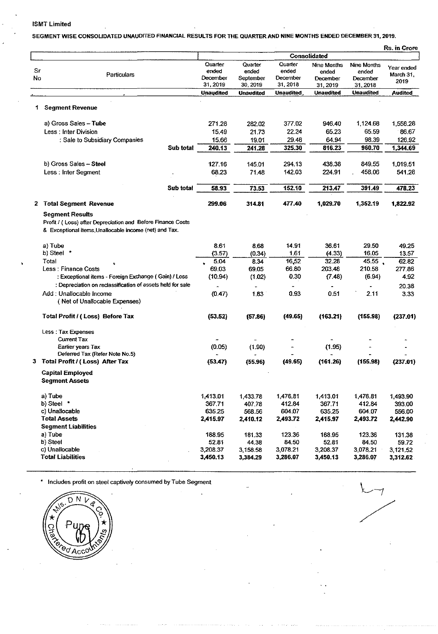#### ISMT Limited

# SEGMENT WISE CONSOLIDATED UNAUDITED FINANCIAL RESULTS FOR THE QUARTER AND NINE MONTHS ENDED DECEMBER 31, 2019.

|    |                                                              |                      |                       |                      |                      |                      | Rs. in Crore   |
|----|--------------------------------------------------------------|----------------------|-----------------------|----------------------|----------------------|----------------------|----------------|
|    |                                                              | Consolidated         |                       |                      |                      |                      |                |
|    |                                                              | Quarter              | Quarter               | Quarter              | Nine Months          | Nine Months          | Year ended     |
| Sr | Particulars                                                  | ended                | ended                 | ended                | ended                | ended                | March 31,      |
| No |                                                              | December<br>31, 2019 | September<br>30, 2019 | December<br>31, 2018 | December<br>31 2019  | December<br>31, 2018 | 2019           |
|    |                                                              | <b>Unaudited</b>     | <b>Unaudited</b>      | <b>Unaudited</b>     | <b>Unaudited</b>     | Unaudited            | <b>Audited</b> |
|    |                                                              |                      |                       |                      |                      |                      |                |
| 1  | <b>Segment Revenue</b>                                       |                      |                       |                      |                      |                      |                |
|    | a) Gross Sales - Tube                                        | 271.28               | 282.02                | 377.02               | 946.40               | 1.124.68             | 1,558.28       |
|    | Less: Inter Division                                         | 15.49                | 21.73                 | 22.24                | 65.23                | 65.59                | 86.67          |
|    | : Sale to Subsidiary Companies                               | 15.66                | 19.01                 | 29.48                | 64.94                | 98.39                | 126.92         |
|    | Sub total                                                    | 240.13               | 241.28                | 325.30               | 816.23               | 960.70               | 1,344.69       |
|    | b) Gross Sales - Steel                                       | 127.16               | 145.01                | 294.13               | 438.38               | 849.55               | 1,019.51       |
|    | Less: Inter Segment                                          | 68.23                | 71.48                 | 142.03               | 224.91               | 458.06               | 541.28         |
|    | Sub total                                                    | 58.93                | 73.53                 | 152.10               | 213.47               | 391.49               | 478,23         |
|    | 2 Total Segment Revenue                                      | 299.06               | 314.81                | 477.40               | 1,029.70             | 1,352.19             | 1,822.92       |
|    | <b>Segment Results</b>                                       |                      |                       |                      |                      |                      |                |
|    | Profit / ( Loss) after Depreciation and Before Finance Costs |                      |                       |                      |                      |                      |                |
|    | & Exceptional items. Unallocable income (net) and Tax.       |                      |                       |                      |                      |                      |                |
|    | a) Tube                                                      | 8.61                 | 8.68                  | 14.91                | 36.61                | 29.50                | 49.25          |
|    | b) Steel *                                                   | (3.57)               | (0.34)                | 1.61                 | (4.33)               | 16.05                | 13.57          |
|    | Total                                                        | 5.04                 | 834                   | 16,52                | 32.28                | 45.55                | 62.82          |
|    | Less: Finance Costs                                          | 69.03                | 69.05                 | 66.80                | 203.48               | 210.58               | 277.86         |
|    | : Exceptional items - Foreign Exchange (Gain) / Loss         | (10.94)              | (1.02)                | 0.30                 | (7.48)               | (6.94)               | 4.92           |
|    | : Depreciation on reclassification of assets held for sale   |                      |                       |                      |                      |                      | 20.38          |
|    | Add : Unallocable Income<br>(Net of Unallocable Expenses)    | (0.47)               | 1.83                  | 0.93                 | 0.51                 | 2.11                 | 3.33           |
|    | Total Profit / (Loss) Before Tax                             | (53.52)              | (57.86)               | (49.65)              | (163.21)             | (155.98)             | (237.01)       |
|    | Less: Tax Expenses                                           |                      |                       |                      |                      |                      |                |
|    | <b>Current Tax</b>                                           |                      |                       |                      |                      |                      |                |
|    | Earlier years Tax<br>Deferred Tax (Refer Note No.5)          | (0.05)               | (1.90)                |                      | (1.95)               |                      |                |
|    | 3 Total Profit / (Loss) After Tax                            | (53.47)              | (55.96)               | (49.65)              | (161.26)             | (155.98)             | (237.01)       |
|    | <b>Capital Employed</b><br><b>Segment Assets</b>             |                      |                       |                      |                      |                      |                |
|    | a) Tube                                                      | 1,413.01             | 1,433.78              | 1,476.81             | 1,413.01             | 1,476.81             | 1,493.90       |
|    | b) Steel *                                                   | 367.71               | 407.78                | 412.84               | 367.71               | 412.84               | 393.00         |
|    | c) Unallocable                                               | 635.25               | 568.56                | 604.07               | 635.25               | 604.07               | 556.00         |
|    | <b>Total Assets</b>                                          | 2,415.97             | 2,410.12              | 2,493.72             | 2,415.97             | 2,493.72             | 2,442.90       |
|    | <b>Segment Liabilities</b>                                   |                      |                       |                      |                      |                      |                |
|    | a) Tube                                                      | 188.95               | 181.33                | 123.36               | 188.95               | 123.36               | 131.38         |
|    | b) Steel                                                     | 52.81                | 44.38                 | 84.50                | 52.81                | 84.50                | 59.72          |
|    | c) Unallocable<br><b>Total Liabilities</b>                   | 3,208.37<br>3,450.13 | 3 158.58<br>3,384.29  | 3,078.21<br>3,286.07 | 3,208.37<br>3,450.13 | 3,078.21<br>3,286.07 | 3,121.52       |
|    |                                                              |                      |                       |                      |                      |                      | 3,312.62       |



/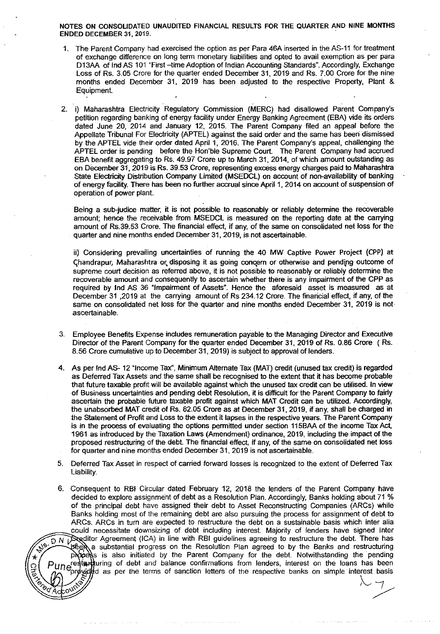NOTES ON CONSOLIDATED UNAUDITED FINANCIAL RESULTS FOR THE QUARTER AND NINE MONTHS ENDED DECEMBER 31, 2019.

- 1. The Parent Company had exercised the option as per Para 46A inserted in the AS-11 for treatment of exchange difference on long term monetary liabilities and opted to avail exemption as per para D13AA of lnd AS 101 "First -time Adoption of Indian Accounting Standards". Accordingly, Exchange Loss of Rs. 3.05 Crore for the quarter ended December 31, 2019 and Rs. 7.00 Crore for the nine months ended December 31, 2019 has been adjusted to the respective Property, Plant & Equipment
- 2. i) Maharashtra Electricity Regulatory Commission (MERC) had disallowed Parent Company's petition regarding banking of energy facility under Energy Banking Agreement (EBA) vide its orders dated June 20, 2014 and January 12, 2015. The Parent Company filed an appeal before the Appellate Tribunal For Electricity (APTEL) against the said order and the same has been dismissed by the APTEL vide their order dated April 1, 2016. The Parent Company's appeal, challenging the APTEL order is pending before the Hon'ble Supreme Court The Parent Company had accrued EBA benefit aggregating to Rs. 49.97 Crore up to March 31, 2014, of which amount outstanding as on December 31, 2019 is Rs. 39.53 Crore, representing excess energy charges paid to Maharashtra State Electricity Distribution Company Limited (MSEDCL) on account of non-availability of banking of energy facility. There has been no further accrual since April 1, 2014 on account of suspension of operation of power plant.

Being a sub-judice matter, it is not possible to reasonably or reliably determine the recoverable amount; hence the receivable from MSEDCL is measured on the reporting date at the carrying amount of Rs.39.53 Crore. The financial effect, if any, of the same on consolidated net loss for the quarter and nine months ended December 31, 2019, is not ascertainable.

ii) Considering prevailing uncertainties of running the 40 MW Captive Power Project (CPP) at Chandrapur, Maharashtra or disposing it as going concern or otherwise and pending outcome of supreme court decision as referred above, it is not possible to reasonably or reliably determine the recoverable amount and consequently to ascertain whether there is any impairment of the CPP as required by lnd AS 36 "Impairment of Assets". Hence the aforesaid asset is measured as at December 31 ,2019 at the carrying amount of Rs 234.12 Crore. The financial effect, if any, of the same on consolidated net loss for the quarter and nine months ended December 31, 2019 is not· ascertainable.

- 3. Employee Benefits Expense includes remuneration payable to the Managing Director and Executive Director of the Parent Company for the quarter ended December 31, 2019 of Rs. 0.86 Crore ( Rs. 8.56 Crore cumulative up to December 31, 2019) is subject to approval of lenders.
- 4. As per lnd AS- 12 "Income Tax", Minimum Alternate Tax (MAT) credit (unused tax credit) is regarded as Deferred Tax Assets and the same shall be recognised to the extent that it has become probable that future taxable profit will be available against which the unused tax credit can be utilised. In view of Business uncertainties and pending debt Resolution, it is difficult for the Parent Company to fairly ascertain the probable future taxable profit against which MAT Credit can be utilized. Accordingly, the unabsorbed MAT credit of Rs. 82.05 Crore as at December 31, 2019, if any, shall be charged in the Statement of Profit and Loss to the extent it lapses in the respective years. The Parent Company is in the process of evaluating the options permitted under section 115BAA of the income Tax Act, 1961 as introduced by the Taxation laws (Amendment) ordinance, 2019, including the impact of the proposed restructuring of the debt. The financial effect, if any, of the same on consolidated net Joss for quarter and nine months ended December 31, 2019 is not ascertainable.
- 5. Deferred Tax Asset in respect of carried forward losses is recognized to the extent of Deferred Tax Liability.
- 6. Consequent to RBI Circular dated February 12, 2018 the lenders of the Parent Company have decided to explore assignment of debt as a Resolution Plan. Accordingly, Banks holding about 71 % of the principal debt have assigned their debt to Asset Reconstructing Companies (ARCs) while Banks holding most of the remaining debt are also pursuing the process for assignment of debt to ARCs. ARCs in turn are expected to restructure the debt on a sustainable basis which inter alia could necessitate downsizing of debt including interest. Majority of lenders have signed Inter D N Declitor Agreement (ICA) in line with RBI guidelines agreeing to restructure the debt. There has been a substantial progress on the Resolution Plan agreed to by the Banks and restructuring procedus is also initiated by the Parent Company for the debt. Notwithstanding the pending restructuring of debt and balance confirmations from lenders, interest on the loans has been provided as per the terms of sanction letters of the respective banks on simple interest basis  $\epsilon$  ) and the contract of the contract of the contract of the contract of the contract of the contract of the contract of the contract of the contract of the contract of the contract of the contract of the contract of th  $\mathcal{L}$  . The set of the set of the set of the set of the set of the set of the set of the set of the set of the set of the set of the set of the set of the set of the set of the set of the set of the set of the set of t

 $\mathcal{L}$  =  $\mathcal{L}$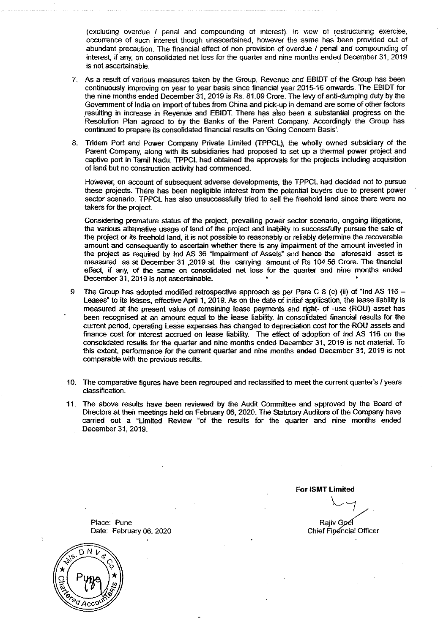(excluding overdue I penal and compounding of interest). In view of restructuring exercise, occurrence of such interest though unascertained, however the same has been provided out of abundant precaution. The financial effect of non provision of overdue / penal and compounding of interest, if any, on consolidated net loss for the quarter and nine months ended December 31, 2019 is not ascertainable.

- 7. As a result of various measures taken by the Group, Revenue and EBIDT of the Group has been continuously improving on year to year basis since financial year 2015-16 onwards. The EBIDT for the nine months ended December 31, 2019 is Rs. 81.09 Crore. The levy of anti-dumping duty by the Government of India on import of tubes from China and pick-up in demand are some of other factors resulting in increase in Revenue and EBIDT. There has also been a substantial progress on the Resolution Plan agreed to by the Banks of the Parent Company. Accordingly the Group has continued to prepare its consolidated financial results on 'Going Concern Basis'.
- 8. Tridern Port and Power Company Private Limited (TPPCL), the wholly owned subsidiary of the Parent Company, along with its subsidiaries had proposed to set up a thermal power project and captive port in Tamil Nadu. TPPCL had obtained the approvals for the projects including acquisition of land but no construction activity had commenced.

HoWever, on account of subsequent adverse developments, the TPPCL had decided not to pursue these projects. There has been negligible interest from the potential buyers due to present power sector scenario. TPPCL has also unsuccessfully tried to sell the freehold land since there were no takers for the project

Considering premature status of the project, prevailing power sector scenario, ongoing litigations, the various alternative usage of land of the project and inability to successfully pursue the sale of the project or its freehold land, it is not possible to reasonably or reliably determine the recoverable amount and consequently to ascertain whether there is any impairment of the amount invested in the project as required by lnd AS 36 "Impairment of Assets" and hence the aforesaid asset is measured as at December 31 ,2019 at the carrying amount of Rs 104.56 Crore. The financial effect, if any, of the same on consolidated net loss for the quarter and nine months ended December 31, 2019 is not astertainable.

- 9. The Group has adopted modified retrospective approach as per Para C 8 (c) (ii) of "ind AS 116 Leases· to its leases, effective April 1, 2019. As on the date of initial application, the lease liability is measured at the present value of remaining lease payments and right- of -use (ROU) asset has been recognised at an amount equal to the lease liability. In consolidated financial results for the current period, operating Lease expenses has changed to depreciation cost for the ROU assets and finance cost for interest accrued on lease liability. The effect of adoption of Ind AS 116 on the consolidated results for the quarter and nine months ended December 31, 2019 is not material. To this extent, performance for the current quarter and nine months ended December 31, 2019 is not comparable with the previous results.
- 10. The comparative figures have been regrouped and reclassified to meet the current quarter's I years classification.
- 11. The above results have been reviewed by the Audit Committee and approved by the Board of Directors at their meetings held on February 06, 2020. The Statutory Auditors of the Company have carried out a "Limited Review "of the results for the quarter and nine months ended December 31, 2019.

For **ISMT Limited** 

 $\sim$  7,

Rajiv Goel Chief Financial Officer

Place: Pune Date: February 06, 2020

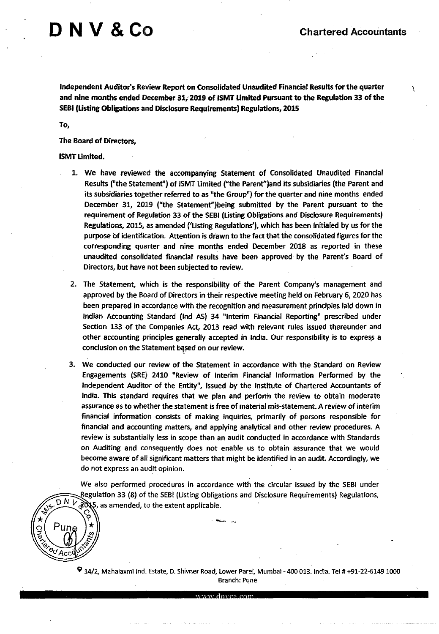# $\Box$  N V &  $\rm{Co}$  Chartered Accountants

Ŷ.

Independent Auditor's Review Report on Consolidated Unaudited Financial Results for the quarter and nine months ended December 31;2019 of ISMT Umited Pursuant to the Regulation 33 of the SEBI (Usting Obligations and Disclosure Requirements) Regulations, 2015

To,

The Board of Directors,

#### ISMT Umited.

- 1. We have reviewed the accompanying Statement of Consolidated Unaudited Financial Results ("the Statement") of ISMT limited ("the Parent")and its subsidiaries (the Parent and its subsidiaries together referred to as "the Group") for the quarter and nine months ended December 31, 2019 ("the Statement")being submitted by the Parent pursuant to the requirement of Regulation 33 of the SEBI (listing Obligations and Disclosure Requirements) Regulations, 201S, as amended ('listing Regulations'), which has been initialed by us for the purpose of identification. Attention is drawn to the fact that the consolidated figures for the corresponding quarter and nine months ended December 2018 as reported in these unaudited consolidated financial results have been approved by the Parent's Board of Directors, but have not been subjected to review.
- 2. The Statement, which is the responsibility of the Parent Company's management and approved by the Board of Directors in their respective meeting held on February 6, 2020 has been prepared in accordance with the recognition and measurement principles laid down in Indian Accounting Standard (lnd AS) 34 "Interim Financial Reporting" prescribed under Section 133 of the Companies Act, 2013 read with relevant rules issued thereunder and other accounting principles generally accepted in India. Our responsibility is to express a conclusion on the Statement based on our review.
- 3. We conducted our review of the Statement in accordance with the Standard on Review Engagements (SRE) 2410 "Review of Interim Financial Information Performed by the Independent Auditor of the Entity", issued by the Institute of Chartered Accountants of India. This standard requires that we plan and perform the review to obtain moderate assurance as to whether the statement is free of material mis-statement. A review of interim financial information consists of making inquiries, primarily of persons responsible for financial and accounting matters, and applying analytical and other review procedures. A review is substantially less in scope than an audit conducted in accordance with Standards on Auditing and consequently does not enable us to obtain assurance that we would become aware of all significant matters that might be identified in an audit. Accordingly, we do not express an audit opinion.

We also performed procedures in accordance with the circular issued by the SEBI under Regulation 33 (8) of the SEBI (Listing Obligations and Disclosure Requirements) Regulations,<br>  $\sqrt{5. D N}$  /  $\sqrt{20.5}$ , as amended, to the extent applicable.  $\partial \mathcal{X}$ , as amended, to the extent applicable.

 $\heartsuit$  14/2, Mahalaxmi Ind. Estate, D. Shivner Road, Lower Parel, Mumbai - 400 013. India. Tel # +91-22-6149 1000 Branch: Pune

www.dnyea.com

 $\sum_{n=1}^{\infty}$   $\begin{pmatrix} Pung \\ \frac{1}{2} \end{pmatrix}$   $\begin{pmatrix} \frac{1}{2} \\ \frac{1}{2} \end{pmatrix}$ 

 $\sqrt[6]{\mathcal{A}_{\text{CC}}}$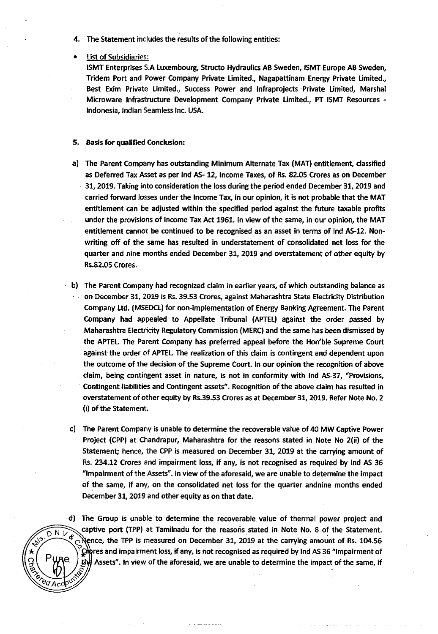- 4. The Statement includes the results of the following entities:
- **List of Subsidiaries:**

ISMT Enterprises S.A luxembourg, Structo Hydraulics AB Sweden, ISMT Europe AB Sweden, Tridem Port and Power Company Private Limited., Nagapattinam Energy Private Limited., Best Exim Private Limited., Success Power and lnfraprojects Private Limited, Marshal Microware Infrastructure Development Company Private Limited., PT ISMT Resources - Indonesia, Indian Seamless Inc. USA.

#### 5. Basis for qualified Conclusion:

- a) The Parent Company has outstanding Minimum Alternate Tax (MAT) entitlement, classified as Deferred Tax Asset as per lnd AS- 12, Income Taxes, of Rs. 82.05 Crores as on December 31, 2019. Taking into consideration the loss during the period ended December 31, 2019 and carried forward losses under the Income Tax, in our opinion, it is not probable that the MAT entitlement can be adjusted within the specified period against the future taxable profits under the provisions of Income Tax Act 1961. In view of the same, in our opinion, the MAT entitlement cannot be continued to be recognised as an asset in terms of lnd AS-12. Nonwriting off of the same has resulted in understatement of consolidated net loss for the quarter and nine months ended December 31, 2019 and overstatement of other equity by Rs.82.05 Crores.
- b) The Parent Company had recognized claim in earlier years, of which outstanding balance as on December 31, 2019 is Rs. 39.53 Crores, against Maharashtra State Electricity Distribution Company ltd. (MSEDCL) for non-implementation of Energy Banking Agreement. The Parent Company had appealed to Appellate Tribunal (APTEL) against the order passed by Maharashtra Electricity Regulatory Commission (MERC) and the same has been dismissed by the APTEL The Parent Company has preferred appeal before the Hon'ble Supreme Court against the order of APTEL The realization of this claim is contingent and dependent upon the outcome of the decision of the Supreme Court. In our opinion the recognition of above claim, being contingent asset in nature, is not in conformity with lnd AS-37, "Provisions, Contingent liabilities and Contingent assets". Recognition of the above claim has resulted in overstatement of other equity by Rs.39.S3 Crores as at December 31, 2019. Refer Note No. 2 (i) of the Statement.
- c) The Parent Company is unable to determine the recoverable value of 40 MW captive Power Project (CPP) at Chandrapur, Maharashtra for the reasons stated in Note No 2(ii) of the Statement; hence, the CPP is measured on December 31, 2019 at the canrying amount of Rs. 234.12 Crores and impairment loss, if any, is not recognised as required by lnd AS 36 "Impairment of the Assets". In view of the aforesaid, we are unable to determine the impact of the same, if any, on the consolidated net loss for the quarter andnine months ended December 31, 2019 and other equity as on that date.

d) The Group is unable to determine the recoverable. value of thermal power project and captive port (TPP) at Tamilnadu for the reasons stated in Note No. 8 of the Statement.<br>  $\sqrt{2^{16}-1}$  Rence, the TPP is measured on December 31, 2019 at the carrying amount of Rs. 104 SE Nence, the TPP is measured on December 31, 2019 at the carrying amount of Rs. 104.56  $\mathcal{L}$ фres and impairment loss, if any, is not recognised as required by Ind AS 36 "Impairment of Assets". In view of the aforesaid, we are unable to determine the impact of the same, if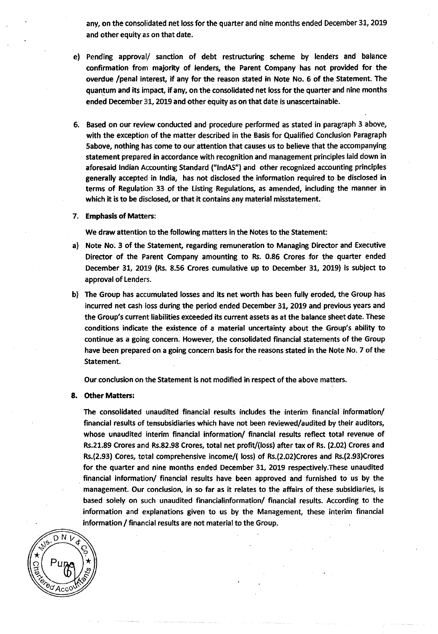any, on the consolidated net loss for the quarter and nine months ended December 31, 2019 and other equity as on that date.

- e) Pending approval/ sanction of debt restructuring scheme by lenders and balance confirmation from majority of lenders, the Parent Company has not provided for the overdue /penal interest, if any for the reason stated in Note No. 6 of the Statement. The quantum and its impact, if any, on the consolidated net loss for the quarter and nine months ended December 31, 2019 and other equity as on that date is unascertainable.
- 6. Based on our review conducted and procedure performed as stated in paragraph 3 above, with the exception of the matter described in the Basis for Qualified Conclusion Paragraph Sabove, nothing has come to our attention that causes us to believe that the accompanying statement prepared in accordance with recognition and management principles laid down in aforesaid Indian Accounting Standard ("lndAS") and other recognized accounting principles generally accepted in India, has not disclosed the information required to be disclosed in terms of Regulation 33 of the Usting Regulations, as amended, including the manner in which it is to be disclosed, or that it contains any material misstatement.
- 7. Emphasis of Matters:

We draw attention to the following matters in the Notes to the Statement:

- a) Note No. 3 of the Statement, regarding remuneration to Managing Director and Executive Director of the Parent Company amounting to Rs. 0.86 Crores for the quarter ended December 31, 2019 (Rs. 8.56 Crores cumulative up to December 31, 2019) is subject to approval of lenders.
- b) The Group has accumulated losses and its net worth has been fully eroded, the Group has incurred net cash loss during the period ended December 31, 2019 and previous years and the Group's current liabilities exceeded its current assets as at the balance sheet date. These conditions indicate the existence of a material uncertainty about the Group's ability to continue as a going concern. However, the consolidated financial statements of the Group have been prepared on a going concern basis for the reasons stated in the Note No. 7 of the Statement.

Our conclusion on the Statement is not modified in respect of the above matters.

#### 8. Other Matters:

The consolidated unaudited financial results includes the interim financial information/ financial results of tensubsidiaries which have not been reviewed/audited by their auditors, whose unaudited interim financial information/ financial results reflect total revenue of Rs.21.89 Crores and Rs.82.98 Crores, total net profit/(loss) after tax of Rs. (2.02) Crores and Rs.(2.93} Cores, total comprehensive income/{ loss) of Rs.(2.02)Crores and Rs.(2.93)Crores for the quarter and nine months ended December 31, 2019 respectively.These unaudited . financial information/ financial results have been approved and furnished to us by the management. Our conclusion, in so far as it relates to the affairs of these subsidiaries, is based solely on such unaudited financialinformation/ financial results. According to the information and explanations given to us by the Management, these interim financial information / financial results are not material to the Group.